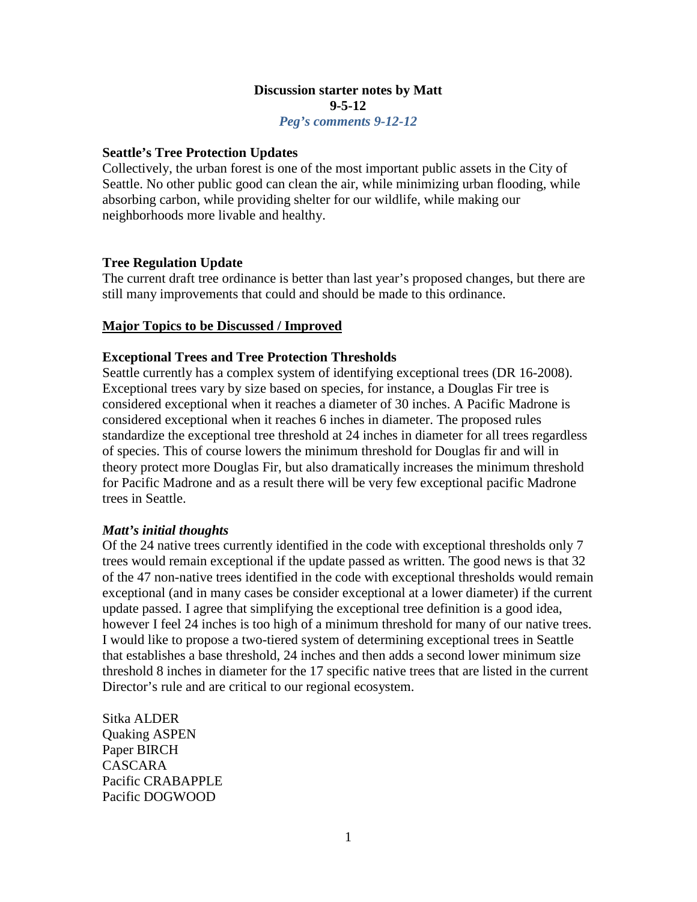# **Discussion starter notes by Matt 9-5-12**

*Peg's comments 9-12-12*

## **Seattle's Tree Protection Updates**

Collectively, the urban forest is one of the most important public assets in the City of Seattle. No other public good can clean the air, while minimizing urban flooding, while absorbing carbon, while providing shelter for our wildlife, while making our neighborhoods more livable and healthy.

# **Tree Regulation Update**

The current draft tree ordinance is better than last year's proposed changes, but there are still many improvements that could and should be made to this ordinance.

# **Major Topics to be Discussed / Improved**

# **Exceptional Trees and Tree Protection Thresholds**

Seattle currently has a complex system of identifying exceptional trees (DR 16-2008). Exceptional trees vary by size based on species, for instance, a Douglas Fir tree is considered exceptional when it reaches a diameter of 30 inches. A Pacific Madrone is considered exceptional when it reaches 6 inches in diameter. The proposed rules standardize the exceptional tree threshold at 24 inches in diameter for all trees regardless of species. This of course lowers the minimum threshold for Douglas fir and will in theory protect more Douglas Fir, but also dramatically increases the minimum threshold for Pacific Madrone and as a result there will be very few exceptional pacific Madrone trees in Seattle.

### *Matt's initial thoughts*

Of the 24 native trees currently identified in the code with exceptional thresholds only 7 trees would remain exceptional if the update passed as written. The good news is that 32 of the 47 non-native trees identified in the code with exceptional thresholds would remain exceptional (and in many cases be consider exceptional at a lower diameter) if the current update passed. I agree that simplifying the exceptional tree definition is a good idea, however I feel 24 inches is too high of a minimum threshold for many of our native trees. I would like to propose a two-tiered system of determining exceptional trees in Seattle that establishes a base threshold, 24 inches and then adds a second lower minimum size threshold 8 inches in diameter for the 17 specific native trees that are listed in the current Director's rule and are critical to our regional ecosystem.

Sitka ALDER Quaking ASPEN Paper BIRCH CASCARA Pacific CRABAPPLE Pacific DOGWOOD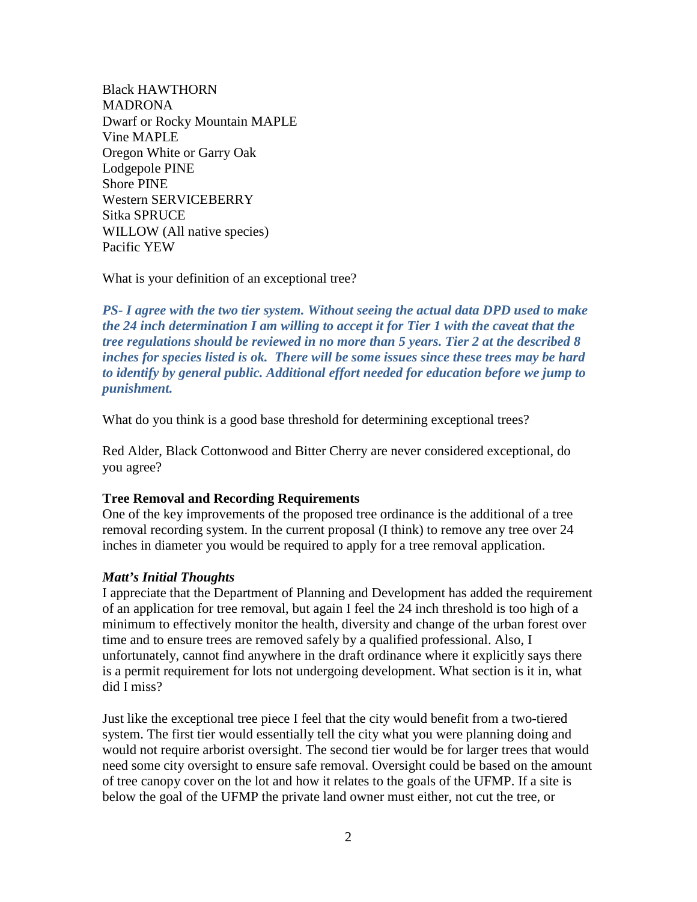Black HAWTHORN MADRONA Dwarf or Rocky Mountain MAPLE Vine MAPLE Oregon White or Garry Oak Lodgepole PINE Shore PINE Western SERVICEBERRY Sitka SPRUCE WILLOW (All native species) Pacific YEW

What is your definition of an exceptional tree?

*PS- I agree with the two tier system. Without seeing the actual data DPD used to make the 24 inch determination I am willing to accept it for Tier 1 with the caveat that the tree regulations should be reviewed in no more than 5 years. Tier 2 at the described 8 inches for species listed is ok. There will be some issues since these trees may be hard to identify by general public. Additional effort needed for education before we jump to punishment.*

What do you think is a good base threshold for determining exceptional trees?

Red Alder, Black Cottonwood and Bitter Cherry are never considered exceptional, do you agree?

### **Tree Removal and Recording Requirements**

One of the key improvements of the proposed tree ordinance is the additional of a tree removal recording system. In the current proposal (I think) to remove any tree over 24 inches in diameter you would be required to apply for a tree removal application.

### *Matt's Initial Thoughts*

I appreciate that the Department of Planning and Development has added the requirement of an application for tree removal, but again I feel the 24 inch threshold is too high of a minimum to effectively monitor the health, diversity and change of the urban forest over time and to ensure trees are removed safely by a qualified professional. Also, I unfortunately, cannot find anywhere in the draft ordinance where it explicitly says there is a permit requirement for lots not undergoing development. What section is it in, what did I miss?

Just like the exceptional tree piece I feel that the city would benefit from a two-tiered system. The first tier would essentially tell the city what you were planning doing and would not require arborist oversight. The second tier would be for larger trees that would need some city oversight to ensure safe removal. Oversight could be based on the amount of tree canopy cover on the lot and how it relates to the goals of the UFMP. If a site is below the goal of the UFMP the private land owner must either, not cut the tree, or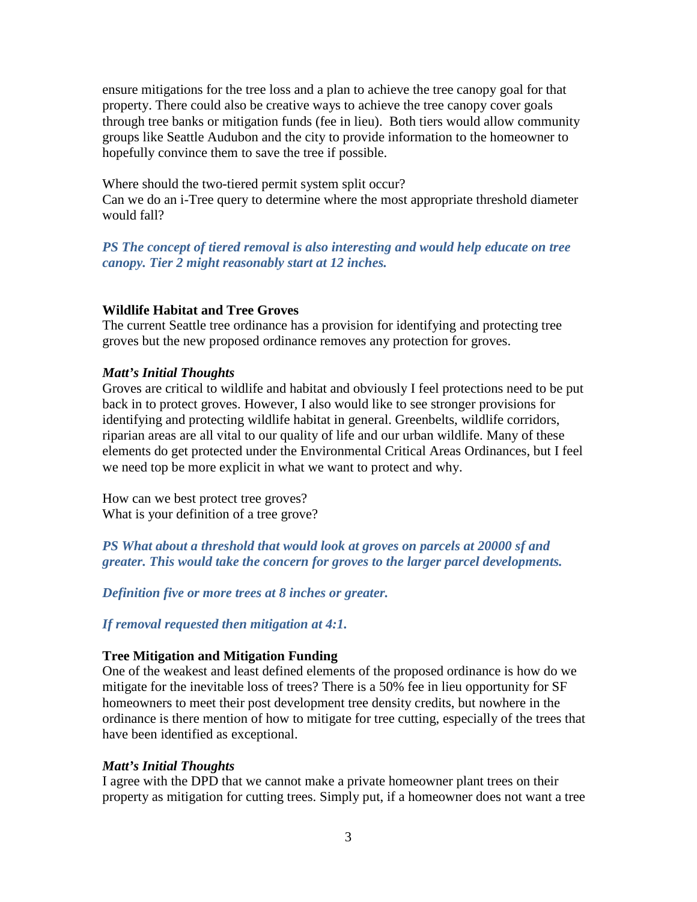ensure mitigations for the tree loss and a plan to achieve the tree canopy goal for that property. There could also be creative ways to achieve the tree canopy cover goals through tree banks or mitigation funds (fee in lieu). Both tiers would allow community groups like Seattle Audubon and the city to provide information to the homeowner to hopefully convince them to save the tree if possible.

Where should the two-tiered permit system split occur? Can we do an i-Tree query to determine where the most appropriate threshold diameter would fall?

*PS The concept of tiered removal is also interesting and would help educate on tree canopy. Tier 2 might reasonably start at 12 inches.*

### **Wildlife Habitat and Tree Groves**

The current Seattle tree ordinance has a provision for identifying and protecting tree groves but the new proposed ordinance removes any protection for groves.

#### *Matt's Initial Thoughts*

Groves are critical to wildlife and habitat and obviously I feel protections need to be put back in to protect groves. However, I also would like to see stronger provisions for identifying and protecting wildlife habitat in general. Greenbelts, wildlife corridors, riparian areas are all vital to our quality of life and our urban wildlife. Many of these elements do get protected under the Environmental Critical Areas Ordinances, but I feel we need top be more explicit in what we want to protect and why.

How can we best protect tree groves? What is your definition of a tree grove?

*PS What about a threshold that would look at groves on parcels at 20000 sf and greater. This would take the concern for groves to the larger parcel developments.* 

*Definition five or more trees at 8 inches or greater.*

*If removal requested then mitigation at 4:1.*

#### **Tree Mitigation and Mitigation Funding**

One of the weakest and least defined elements of the proposed ordinance is how do we mitigate for the inevitable loss of trees? There is a 50% fee in lieu opportunity for SF homeowners to meet their post development tree density credits, but nowhere in the ordinance is there mention of how to mitigate for tree cutting, especially of the trees that have been identified as exceptional.

### *Matt's Initial Thoughts*

I agree with the DPD that we cannot make a private homeowner plant trees on their property as mitigation for cutting trees. Simply put, if a homeowner does not want a tree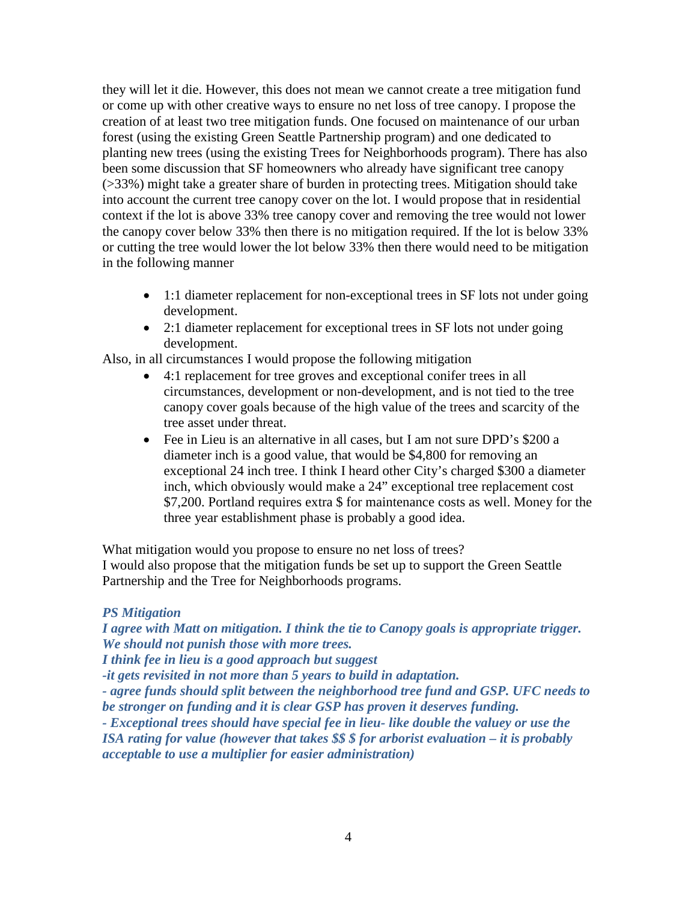they will let it die. However, this does not mean we cannot create a tree mitigation fund or come up with other creative ways to ensure no net loss of tree canopy. I propose the creation of at least two tree mitigation funds. One focused on maintenance of our urban forest (using the existing Green Seattle Partnership program) and one dedicated to planting new trees (using the existing Trees for Neighborhoods program). There has also been some discussion that SF homeowners who already have significant tree canopy (>33%) might take a greater share of burden in protecting trees. Mitigation should take into account the current tree canopy cover on the lot. I would propose that in residential context if the lot is above 33% tree canopy cover and removing the tree would not lower the canopy cover below 33% then there is no mitigation required. If the lot is below 33% or cutting the tree would lower the lot below 33% then there would need to be mitigation in the following manner

- 1:1 diameter replacement for non-exceptional trees in SF lots not under going development.
- 2:1 diameter replacement for exceptional trees in SF lots not under going development.

Also, in all circumstances I would propose the following mitigation

- 4:1 replacement for tree groves and exceptional conifer trees in all circumstances, development or non-development, and is not tied to the tree canopy cover goals because of the high value of the trees and scarcity of the tree asset under threat.
- Fee in Lieu is an alternative in all cases, but I am not sure DPD's \$200 a diameter inch is a good value, that would be \$4,800 for removing an exceptional 24 inch tree. I think I heard other City's charged \$300 a diameter inch, which obviously would make a 24" exceptional tree replacement cost \$7,200. Portland requires extra \$ for maintenance costs as well. Money for the three year establishment phase is probably a good idea.

What mitigation would you propose to ensure no net loss of trees? I would also propose that the mitigation funds be set up to support the Green Seattle Partnership and the Tree for Neighborhoods programs.

### *PS Mitigation*

*I agree with Matt on mitigation. I think the tie to Canopy goals is appropriate trigger. We should not punish those with more trees.*

*I think fee in lieu is a good approach but suggest* 

*-it gets revisited in not more than 5 years to build in adaptation.*

*- agree funds should split between the neighborhood tree fund and GSP. UFC needs to be stronger on funding and it is clear GSP has proven it deserves funding.*

*- Exceptional trees should have special fee in lieu- like double the valuey or use the ISA rating for value (however that takes \$\$ \$ for arborist evaluation – it is probably acceptable to use a multiplier for easier administration)*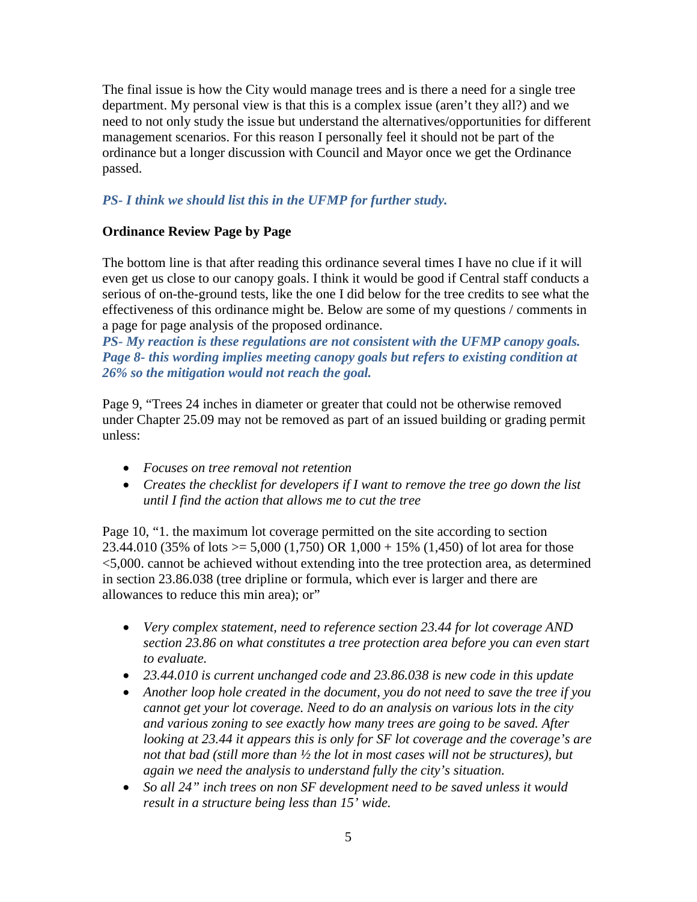The final issue is how the City would manage trees and is there a need for a single tree department. My personal view is that this is a complex issue (aren't they all?) and we need to not only study the issue but understand the alternatives/opportunities for different management scenarios. For this reason I personally feel it should not be part of the ordinance but a longer discussion with Council and Mayor once we get the Ordinance passed.

# *PS- I think we should list this in the UFMP for further study.*

# **Ordinance Review Page by Page**

The bottom line is that after reading this ordinance several times I have no clue if it will even get us close to our canopy goals. I think it would be good if Central staff conducts a serious of on-the-ground tests, like the one I did below for the tree credits to see what the effectiveness of this ordinance might be. Below are some of my questions / comments in a page for page analysis of the proposed ordinance.

*PS- My reaction is these regulations are not consistent with the UFMP canopy goals. Page 8- this wording implies meeting canopy goals but refers to existing condition at 26% so the mitigation would not reach the goal.*

Page 9, "Trees 24 inches in diameter or greater that could not be otherwise removed under Chapter 25.09 may not be removed as part of an issued building or grading permit unless:

- *Focuses on tree removal not retention*
- *Creates the checklist for developers if I want to remove the tree go down the list until I find the action that allows me to cut the tree*

Page 10, "1. the maximum lot coverage permitted on the site according to section 23.44.010 (35% of lots  $>= 5,000$  (1,750) OR 1,000 + 15% (1,450) of lot area for those <5,000. cannot be achieved without extending into the tree protection area, as determined in section 23.86.038 (tree dripline or formula, which ever is larger and there are allowances to reduce this min area); or"

- *Very complex statement, need to reference section 23.44 for lot coverage AND section 23.86 on what constitutes a tree protection area before you can even start to evaluate.*
- *23.44.010 is current unchanged code and 23.86.038 is new code in this update*
- *Another loop hole created in the document, you do not need to save the tree if you cannot get your lot coverage. Need to do an analysis on various lots in the city and various zoning to see exactly how many trees are going to be saved. After looking at 23.44 it appears this is only for SF lot coverage and the coverage's are not that bad (still more than ½ the lot in most cases will not be structures), but again we need the analysis to understand fully the city's situation.*
- *So all 24" inch trees on non SF development need to be saved unless it would result in a structure being less than 15' wide.*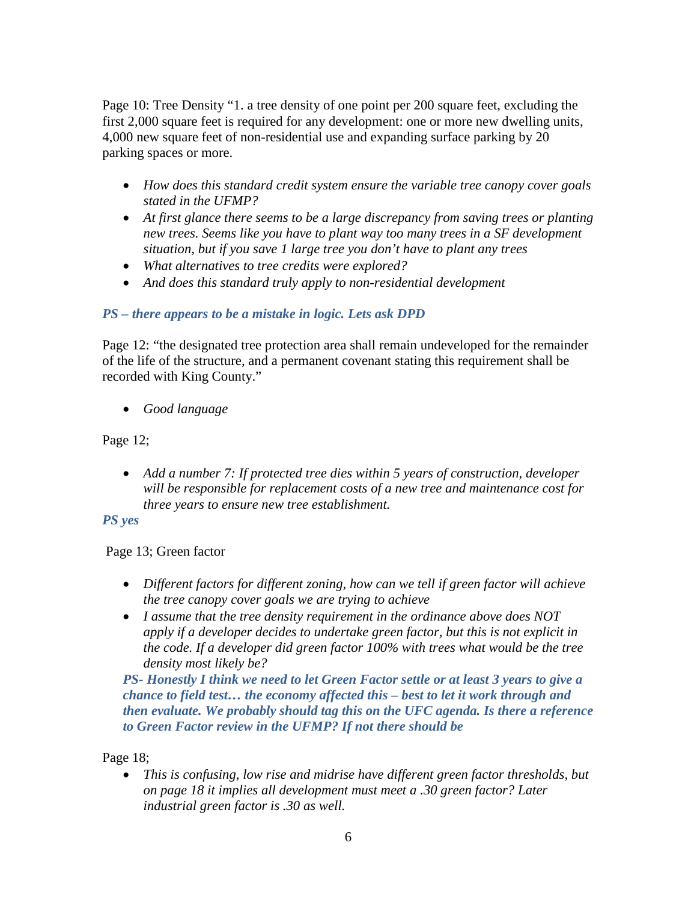Page 10: Tree Density "1. a tree density of one point per 200 square feet, excluding the first 2,000 square feet is required for any development: one or more new dwelling units, 4,000 new square feet of non-residential use and expanding surface parking by 20 parking spaces or more.

- *How does this standard credit system ensure the variable tree canopy cover goals stated in the UFMP?*
- At first glance there seems to be a large discrepancy from saving trees or planting *new trees. Seems like you have to plant way too many trees in a SF development situation, but if you save 1 large tree you don't have to plant any trees*
- *What alternatives to tree credits were explored?*
- *And does this standard truly apply to non-residential development*

# *PS – there appears to be a mistake in logic. Lets ask DPD*

Page 12: "the designated tree protection area shall remain undeveloped for the remainder of the life of the structure, and a permanent covenant stating this requirement shall be recorded with King County."

• *Good language*

# Page 12;

• *Add a number 7: If protected tree dies within 5 years of construction, developer will be responsible for replacement costs of a new tree and maintenance cost for three years to ensure new tree establishment.* 

# *PS yes*

# Page 13; Green factor

- *Different factors for different zoning, how can we tell if green factor will achieve the tree canopy cover goals we are trying to achieve*
- *I assume that the tree density requirement in the ordinance above does NOT apply if a developer decides to undertake green factor, but this is not explicit in the code. If a developer did green factor 100% with trees what would be the tree density most likely be?*

*PS- Honestly I think we need to let Green Factor settle or at least 3 years to give a chance to field test… the economy affected this – best to let it work through and then evaluate. We probably should tag this on the UFC agenda. Is there a reference to Green Factor review in the UFMP? If not there should be*

Page 18;

• *This is confusing, low rise and midrise have different green factor thresholds, but on page 18 it implies all development must meet a .30 green factor? Later industrial green factor is .30 as well.*